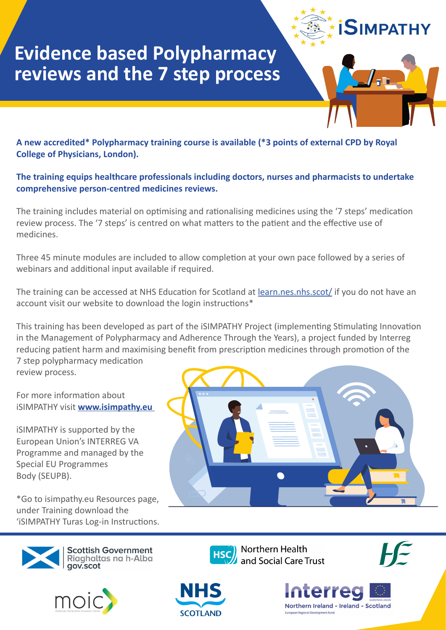

# **Evidence based Polypharmacy reviews and the 7 step process**

**A new accredited\* Polypharmacy training course is available (\*3 points of external CPD by Royal College of Physicians, London).**

#### **The training equips healthcare professionals including doctors, nurses and pharmacists to undertake comprehensive person-centred medicines reviews.**

The training includes material on optimising and rationalising medicines using the '7 steps' medication review process. The '7 steps' is centred on what matters to the patient and the effective use of medicines.

Three 45 minute modules are included to allow completion at your own pace followed by a series of webinars and additional input available if required.

The training can be accessed at NHS Education for Scotland at [learn.nes.nhs.scot/](https://learn.nes.nhs.scot/) if you do not have an account visit our website to download the login instructions\*

This training has been developed as part of the iSIMPATHY Project (implementing Stimulating Innovation in the Management of Polypharmacy and Adherence Through the Years), a project funded by Interreg reducing patient harm and maximising benefit from prescription medicines through promotion of the 7 step polypharmacy medication review process.

For more information about iSIMPATHY visit **[www.isimpathy.eu](http://www.isimpathy.eu)** 

iSIMPATHY is supported by the European Union's INTERREG VA Programme and managed by the Special EU Programmes Body (SEUPB).

\*Go to isimpathy.eu Resources page, under Training download the 'iSIMPATHY Turas Log-in Instructions.







Northern Health and Social Care Trust